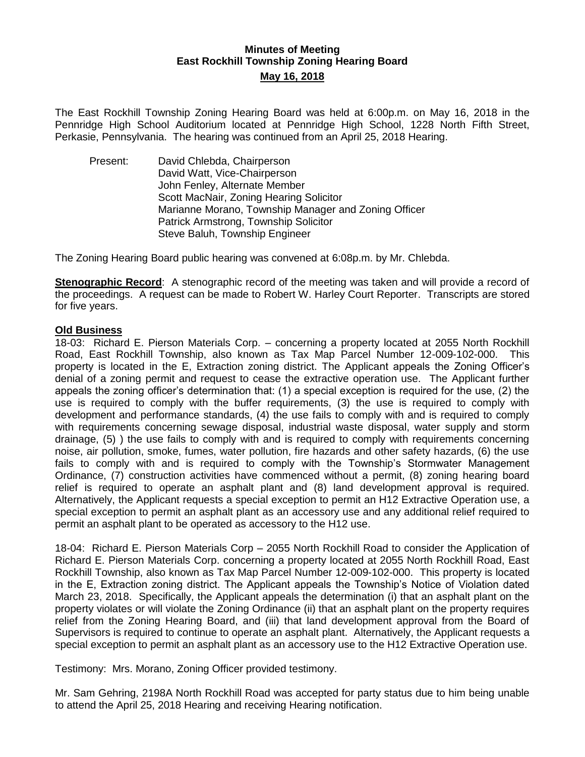# **Minutes of Meeting East Rockhill Township Zoning Hearing Board May 16, 2018**

The East Rockhill Township Zoning Hearing Board was held at 6:00p.m. on May 16, 2018 in the Pennridge High School Auditorium located at Pennridge High School, 1228 North Fifth Street, Perkasie, Pennsylvania. The hearing was continued from an April 25, 2018 Hearing.

Present: David Chlebda, Chairperson David Watt, Vice-Chairperson John Fenley, Alternate Member Scott MacNair, Zoning Hearing Solicitor Marianne Morano, Township Manager and Zoning Officer Patrick Armstrong, Township Solicitor Steve Baluh, Township Engineer

The Zoning Hearing Board public hearing was convened at 6:08p.m. by Mr. Chlebda.

**Stenographic Record**: A stenographic record of the meeting was taken and will provide a record of the proceedings. A request can be made to Robert W. Harley Court Reporter. Transcripts are stored for five years.

## **Old Business**

18-03: Richard E. Pierson Materials Corp. – concerning a property located at 2055 North Rockhill Road, East Rockhill Township, also known as Tax Map Parcel Number 12-009-102-000. This property is located in the E, Extraction zoning district. The Applicant appeals the Zoning Officer's denial of a zoning permit and request to cease the extractive operation use. The Applicant further appeals the zoning officer's determination that: (1) a special exception is required for the use, (2) the use is required to comply with the buffer requirements, (3) the use is required to comply with development and performance standards, (4) the use fails to comply with and is required to comply with requirements concerning sewage disposal, industrial waste disposal, water supply and storm drainage, (5) ) the use fails to comply with and is required to comply with requirements concerning noise, air pollution, smoke, fumes, water pollution, fire hazards and other safety hazards, (6) the use fails to comply with and is required to comply with the Township's Stormwater Management Ordinance, (7) construction activities have commenced without a permit, (8) zoning hearing board relief is required to operate an asphalt plant and (8) land development approval is required. Alternatively, the Applicant requests a special exception to permit an H12 Extractive Operation use, a special exception to permit an asphalt plant as an accessory use and any additional relief required to permit an asphalt plant to be operated as accessory to the H12 use.

18-04: Richard E. Pierson Materials Corp – 2055 North Rockhill Road to consider the Application of Richard E. Pierson Materials Corp. concerning a property located at 2055 North Rockhill Road, East Rockhill Township, also known as Tax Map Parcel Number 12-009-102-000. This property is located in the E, Extraction zoning district. The Applicant appeals the Township's Notice of Violation dated March 23, 2018. Specifically, the Applicant appeals the determination (i) that an asphalt plant on the property violates or will violate the Zoning Ordinance (ii) that an asphalt plant on the property requires relief from the Zoning Hearing Board, and (iii) that land development approval from the Board of Supervisors is required to continue to operate an asphalt plant. Alternatively, the Applicant requests a special exception to permit an asphalt plant as an accessory use to the H12 Extractive Operation use.

Testimony: Mrs. Morano, Zoning Officer provided testimony.

Mr. Sam Gehring, 2198A North Rockhill Road was accepted for party status due to him being unable to attend the April 25, 2018 Hearing and receiving Hearing notification.